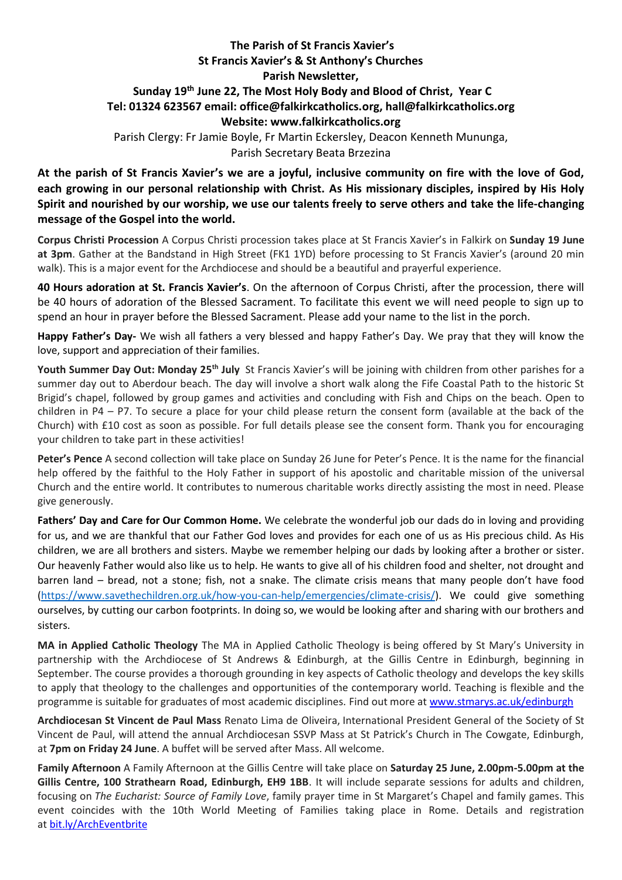## **The Parish of St Francis Xavier's St Francis Xavier's & St Anthony's Churches Parish Newsletter, Sunday 19 th June 22, The Most Holy Body and Blood of Christ, Year C Tel: 01324 623567 email: office@falkirkcatholics.org, [hall@falkirkcatholics.org](mailto:hall@falkirkcatholics.org) Website: [www.falkirkcatholics.org](http://www.falkirkcatholics.org/)**  Parish Clergy: Fr Jamie Boyle, Fr Martin Eckersley, Deacon Kenneth Mununga, Parish Secretary Beata Brzezina

**At the parish of St Francis Xavier's we are a joyful, inclusive community on fire with the love of God, each growing in our personal relationship with Christ. As His missionary disciples, inspired by His Holy Spirit and nourished by our worship, we use our talents freely to serve others and take the life-changing message of the Gospel into the world.**

**Corpus Christi Procession** A Corpus Christi procession takes place at St Francis Xavier's in Falkirk on **Sunday 19 June at 3pm**. Gather at the Bandstand in High Street (FK1 1YD) before processing to St Francis Xavier's (around 20 min walk). This is a major event for the Archdiocese and should be a beautiful and prayerful experience.

**40 Hours adoration at St. Francis Xavier's**. On the afternoon of Corpus Christi, after the procession, there will be 40 hours of adoration of the Blessed Sacrament. To facilitate this event we will need people to sign up to spend an hour in prayer before the Blessed Sacrament. Please add your name to the list in the porch.

**Happy Father's Day-** We wish all fathers a very blessed and happy Father's Day. We pray that they will know the love, support and appreciation of their families.

**Youth Summer Day Out: Monday 25th July** St Francis Xavier's will be joining with children from other parishes for a summer day out to Aberdour beach. The day will involve a short walk along the Fife Coastal Path to the historic St Brigid's chapel, followed by group games and activities and concluding with Fish and Chips on the beach. Open to children in P4 – P7. To secure a place for your child please return the consent form (available at the back of the Church) with £10 cost as soon as possible. For full details please see the consent form. Thank you for encouraging your children to take part in these activities!

**Peter's Pence** A second collection will take place on Sunday 26 June for Peter's Pence. It is the name for the financial help offered by the faithful to the Holy Father in support of his apostolic and charitable mission of the universal Church and the entire world. It contributes to numerous charitable works directly assisting the most in need. Please give generously.

**Fathers' Day and Care for Our Common Home.** We celebrate the wonderful job our dads do in loving and providing for us, and we are thankful that our Father God loves and provides for each one of us as His precious child. As His children, we are all brothers and sisters. Maybe we remember helping our dads by looking after a brother or sister. Our heavenly Father would also like us to help. He wants to give all of his children food and shelter, not drought and barren land – bread, not a stone; fish, not a snake. The climate crisis means that many people don't have food [\(https://www.savethechildren.org.uk/how-you-can-help/emergencies/climate-crisis/\)](https://www.savethechildren.org.uk/how-you-can-help/emergencies/climate-crisis/). We could give something ourselves, by cutting our carbon footprints. In doing so, we would be looking after and sharing with our brothers and sisters.

**MA in Applied Catholic Theology** The MA in Applied Catholic Theology is being offered by St Mary's University in partnership with the Archdiocese of St Andrews & Edinburgh, at the Gillis Centre in Edinburgh, beginning in September. The course provides a thorough grounding in key aspects of Catholic theology and develops the key skills to apply that theology to the challenges and opportunities of the contemporary world. Teaching is flexible and the programme is suitable for graduates of most academic disciplines. Find out more at [www.stmarys.ac.uk/edinburgh](https://nam12.safelinks.protection.outlook.com/?url=http%3A%2F%2Fwww.stmarys.ac.uk%2Fedinburgh&data=05%7C01%7C%7C8e4f13273329407103a608da4f74b1d0%7C84df9e7fe9f640afb435aaaaaaaaaaaa%7C1%7C0%7C637909660941087856%7CUnknown%7CTWFpbGZsb3d8eyJWIjoiMC4wLjAwMDAiLCJQIjoiV2luMzIiLCJBTiI6Ik1haWwiLCJXVCI6Mn0%3D%7C3000%7C%7C%7C&sdata=JU%2FARlLUPPuLmd6fUgPe6SfQGorxwa%2FxyK9KSbZ%2FklU%3D&reserved=0)

**Archdiocesan St Vincent de Paul Mass** Renato Lima de Oliveira, International President General of the Society of St Vincent de Paul, will attend the annual Archdiocesan SSVP Mass at St Patrick's Church in The Cowgate, Edinburgh, at **7pm on Friday 24 June**. A buffet will be served after Mass. All welcome.

**Family Afternoon** A Family Afternoon at the Gillis Centre will take place on **Saturday 25 June, 2.00pm-5.00pm at the Gillis Centre, 100 Strathearn Road, Edinburgh, EH9 1BB**. It will include separate sessions for adults and children, focusing on *The Eucharist: Source of Family Love*, family prayer time in St Margaret's Chapel and family games. This event coincides with the 10th World Meeting of Families taking place in Rome. Details and registration at [bit.ly/ArchEventbrite](https://nam12.safelinks.protection.outlook.com/?url=https%3A%2F%2Fbit.ly%2FArchEventbrite&data=05%7C01%7C%7C8e4f13273329407103a608da4f74b1d0%7C84df9e7fe9f640afb435aaaaaaaaaaaa%7C1%7C0%7C637909660941087856%7CUnknown%7CTWFpbGZsb3d8eyJWIjoiMC4wLjAwMDAiLCJQIjoiV2luMzIiLCJBTiI6Ik1haWwiLCJXVCI6Mn0%3D%7C3000%7C%7C%7C&sdata=%2FQDeoecKxVvAaO2M%2FFqkr5T8%2FipkVkQtLWPdf3H5IsY%3D&reserved=0)